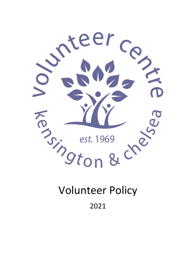

2021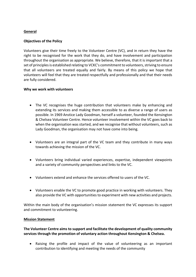# **General**

# **Objectives of the Policy**

Volunteers give their time freely to the Volunteer Centre (VC), and in return they have the right to be recognised for the work that they do, and have involvement and participation throughout the organisation as appropriate. We believe, therefore, that it is important that a set of principles is established relating to VCKC's commitment to volunteers, striving to ensure that all volunteers are treated equally and fairly. By means of this policy we hope that volunteers will feel that they are treated respectfully and professionally and that their needs are fully considered.

# **Why we work with volunteers**

- The VC recognises the huge contribution that volunteers make by enhancing and extending its services and making them accessible to as diverse a range of users as possible. In 1969 Anstice Lady Goodman, herself a volunteer, founded the Kensington & Chelsea Volunteer Centre. Hence volunteer involvement within the VC goes back to when the organisation was started, and we recognise that without volunteers, such as Lady Goodman, the organisation may not have come into being.
- Volunteers are an integral part of the VC team and they contribute in many ways towards achieving the mission of the VC.
- Volunteers bring individual varied experiences, expertise, independent viewpoints and a variety of community perspectives and links to the VC.
- Volunteers extend and enhance the services offered to users of the VC.
- Volunteers enable the VC to promote good practice in working with volunteers. They also provide the VC with opportunities to experiment with new activities and projects.

Within the main body of the organisation's mission statement the VC expresses its support and commitment to volunteering.

## **Mission Statement**

**The Volunteer Centre aims to support and facilitate the development of quality community services through the promotion of voluntary action throughout Kensington & Chelsea.**

 Raising the profile and impact of the value of volunteering as an important contribution to identifying and meeting the needs of the community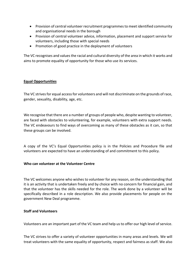- Provision of central volunteer recruitment programmes to meet identified community and organisational needs in the borough
- Provision of central volunteer advice, information, placement and support service for volunteers, including those with special needs
- Promotion of good practice in the deployment of volunteers

The VC recognises and values the racial and cultural diversity of the area in which it works and aims to promote equality of opportunity for those who use its services.

# **Equal Opportunities**

The VC strives for equal access for volunteers and will not discriminate on the grounds of race, gender, sexuality, disability, age, etc.

We recognise that there are a number of groups of people who, despite wanting to volunteer, are faced with obstacles to volunteering, for example, volunteers with extra support needs. The VC endeavours to find ways of overcoming as many of these obstacles as it can, so that these groups can be involved.

A copy of the VC's Equal Opportunities policy is in the Policies and Procedure file and volunteers are expected to have an understanding of and commitment to this policy.

## **Who can volunteer at the Volunteer Centre**

The VC welcomes anyone who wishes to volunteer for any reason, on the understanding that it is an activity that is undertaken freely and by choice with no concern for financial gain, and that the volunteer has the skills needed for the role. The work done by a volunteer will be specifically described in a role description. We also provide placements for people on the government New Deal programme.

## **Staff and Volunteers**

Volunteers are an important part of the VC team and help us to offer our high level of service.

The VC strives to offer a variety of volunteer opportunities in many areas and levels. We will treat volunteers with the same equality of opportunity, respect and fairness as staff. We also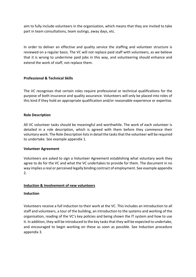aim to fully include volunteers in the organisation, which means that they are invited to take part in team consultations, team outings, away days, etc.

In order to deliver an effective and quality service the staffing and volunteer structure is reviewed on a regular basis. The VC will not replace paid staff with volunteers, as we believe that it is wrong to undermine paid jobs in this way, and volunteering should enhance and extend the work of staff, not replace them.

# **Professional & Technical Skills**

The VC recognises that certain roles require professional or technical qualifications for the purpose of both insurance and quality assurance. Volunteers will only be placed into roles of this kind if they hold an appropriate qualification and/or reasonable experience or expertise.

# **Role Description**

All VC volunteer tasks should be meaningful and worthwhile. The work of each volunteer is detailed in a role description, which is agreed with them before they commence their voluntary work. The Role Description lists in detail the tasks that the volunteer will be required to undertake. See example appendix 1.

## **Volunteer Agreement**

Volunteers are asked to sign a Volunteer Agreement establishing what voluntary work they agree to do for the VC and what the VC undertakes to provide for them. The document in no way implies a real or perceived legally binding contract of employment. See example appendix 2.

## **Induction & Involvement of new volunteers**

## **Induction**

Volunteers receive a full induction to their work at the VC. This includes an introduction to all staff and volunteers, a tour of the building, an introduction to the systems and working of the organisation, reading of the VC's key policies and being shown the IT system and how to use it. In addition, they will be introduced to the key tasks that they will be expected to undertake, and encouraged to begin working on these as soon as possible. See Induction procedure appendix 3.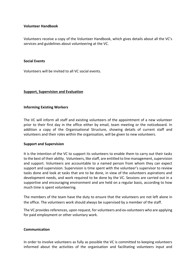## **Volunteer Handbook**

Volunteers receive a copy of the Volunteer Handbook, which gives details about all the VC's services and guidelines about volunteering at the VC.

#### **Social Events**

Volunteers will be invited to all VC social events.

#### **Support, Supervision and Evaluation**

#### **Informing Existing Workers**

The VC will inform all staff and existing volunteers of the appointment of a new volunteer prior to their first day in the office either by email, team meeting or the noticeboard. In addition a copy of the Organisational Structure, showing details of current staff and volunteers and their roles within the organisation, will be given to new volunteers.

#### **Support and Supervision**

It is the intention of the VC to support its volunteers to enable them to carry out their tasks to the best of their ability. Volunteers, like staff, are entitled to line management, supervision and support. Volunteers are accountable to a named person from whom they can expect support and supervision. Supervision is time spent with the volunteer's supervisor to review tasks done and look at tasks that are to be done, in view of the volunteers aspirations and development needs, and work required to be done by the VC. Sessions are carried out in a supportive and encouraging environment and are held on a regular basis, according to how much time is spent volunteering.

The members of the team have the duty to ensure that the volunteers are not left alone in the office. The volunteers work should always be supervised by a member of the staff.

The VC provides references, upon request, for volunteers and ex-volunteers who are applying for paid employment or other voluntary work.

#### **Communication**

In order to involve volunteers as fully as possible the VC is committed to keeping volunteers informed about the activities of the organisation and facilitating volunteers input and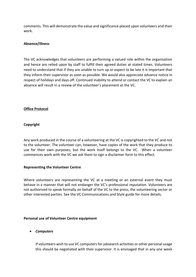comments. This will demonstrate the value and significance placed upon volunteers and their work.

# **Absence/illness**

The VC acknowledges that volunteers are performing a valued role within the organisation and hence are relied upon by staff to fulfill their agreed duties at stated times. Volunteers need to understand that if they are unable to turn up or expect to be late it is important that they inform their supervisor as soon as possible. We would also appreciate advance notice in respect of holidays and days off. Continued inability to attend or contact the VC to explain an absence will result in a review of the volunteer's placement at the VC.

# **Office Protocol**

# **Copyright**

Any work produced in the course of a volunteering at the VC is copyrighted to the VC and not to the volunteer. The volunteer can, however, have copies of the work that they produce to use for their own purposes, but the work itself belongs to the VC. When a volunteer commences work with the VC we ask them to sign a disclaimer form to this effect.

## **Representing the Volunteer Centre**

Where volunteers are representing the VC at a meeting or an external event they must behave in a manner that will not endanger the VC's professional reputation. Volunteers are not authorised to speak formally on behalf of the VC to the press, the volunteering sector or other interested parties. See the VC Communications and Style guide for more details.

## **Personal use of Volunteer Centre equipment**

*Computers*

If volunteers wish to use VC computers for jobsearch activities or other personal usage this should be negotiated with their supervisor. It is envisaged that in any one week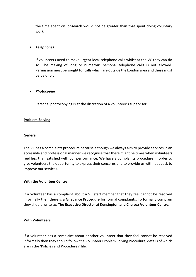the time spent on jobsearch would not be greater than that spent doing voluntary work.

# *Telephones*

If volunteers need to make urgent local telephone calls whilst at the VC they can do so. The making of long or numerous personal telephone calls is not allowed. Permission must be sought for calls which are outside the London area and these must be paid for.

## *Photocopier*

Personal photocopying is at the discretion of a volunteer's supervisor.

# **Problem Solving**

## **General**

The VC has a complaints procedure because although we always aim to provide services in an accessible and professional manner we recognise that there might be times when volunteers feel less than satisfied with our performance. We have a complaints procedure in order to give volunteers the opportunity to express their concerns and to provide us with feedback to improve our services.

## **With the Volunteer Centre**

If a volunteer has a complaint about a VC staff member that they feel cannot be resolved informally then there is a Grievance Procedure for formal complaints. To formally complain they should write to: **The Executive Director at Kensington and Chelsea Volunteer Centre.** 

## **With Volunteers**

If a volunteer has a complaint about another volunteer that they feel cannot be resolved informally then they should follow the Volunteer Problem Solving Procedure, details of which are in the 'Policies and Procedures' file.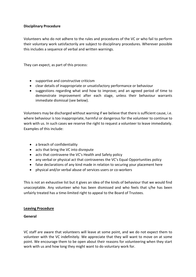# **Disciplinary Procedure**

Volunteers who do not adhere to the rules and procedures of the VC or who fail to perform their voluntary work satisfactorily are subject to disciplinary procedures. Wherever possible this includes a sequence of verbal and written warnings.

They can expect, as part of this process:

- supportive and constructive criticism
- clear details of inappropriate or unsatisfactory performance or behaviour
- suggestions regarding what and how to improve; and an agreed period of time to demonstrate improvement after each stage, unless their behaviour warrants immediate dismissal (see below).

Volunteers may be discharged without warning if we believe that there is sufficient cause, i.e. where behaviour is too inappropriate, harmful or dangerous for the volunteer to continue to work with us. In such cases we reserve the right to request a volunteer to leave immediately. Examples of this include:

- a breach of confidentiality
- acts that bring the VC into disrepute
- acts that contravene the VC's Health and Safety policy
- any verbal or physical act that contravenes the VC's Equal Opportunities policy
- false declarations of any kind made in relation to securing your placement here
- physical and/or verbal abuse of services users or co-workers

This is not an exhaustive list but it gives an idea of the kinds of behaviour that we would find unacceptable. Any volunteer who has been dismissed and who feels that s/he has been unfairly treated has a time-limited right to appeal to the Board of Trustees.

## **Leaving Procedure**

## **General**

VC staff are aware that volunteers will leave at some point, and we do not expect them to volunteer with the VC indefinitely. We appreciate that they will want to move on at some point. We encourage them to be open about their reasons for volunteering when they start work with us and how long they might want to do voluntary work for.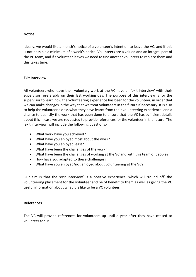## **Notice**

Ideally, we would like a month's notice of a volunteer's intention to leave the VC, and if this is not possible a minimum of a week's notice. Volunteers are a valued and an integral part of the VC team, and if a volunteer leaves we need to find another volunteer to replace them and this takes time.

## **Exit Interview**

All volunteers who leave their voluntary work at the VC have an 'exit interview' with their supervisor, preferably on their last working day. The purpose of this interview is for the supervisor to learn how the volunteering experience has been for the volunteer, in order that we can make changes in the way that we treat volunteers in the future if necessary. It is also to help the volunteer assess what they have learnt from their volunteering experience, and a chance to quantify the work that has been done to ensure that the VC has sufficient details about this in case we are requested to provide references for the volunteer in the future. The 'exit interview' will include the following questions:-

- What work have you achieved?
- What have you enjoyed most about the work?
- What have you enjoyed least?
- What have been the challenges of the work?
- What have been the challenges of working at the VC and with this team of people?
- How have you adapted to these challenges?
- What have you enjoyed/not enjoyed about volunteering at the VC?

Our aim is that the 'exit interview' is a positive experience, which will 'round off' the volunteering placement for the volunteer and be of benefit to them as well as giving the VC useful information about what it is like to be a VC volunteer.

## **References**

The VC will provide references for volunteers up until a year after they have ceased to volunteer for us.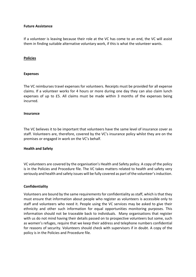## **Future Assistance**

If a volunteer is leaving because their role at the VC has come to an end, the VC will assist them in finding suitable alternative voluntary work, if this is what the volunteer wants.

#### **Policies**

#### **Expenses**

The VC reimburses travel expenses for volunteers. Receipts must be provided for all expense claims. If a volunteer works for 4 hours or more during one day they can also claim lunch expenses of up to £5. All claims must be made within 3 months of the expenses being incurred.

#### **Insurance**

The VC believes it to be important that volunteers have the same level of insurance cover as staff. Volunteers are, therefore, covered by the VC's insurance policy whilst they are on the premises or engaged in work on the VC's behalf.

## **Health and Safety**

VC volunteers are covered by the organisation's Health and Safety policy. A copy of the policy is in the Policies and Procedure file. The VC takes matters related to health and safety very seriously and health and safety issues will be fully covered as part of the volunteer's induction.

## **Confidentiality**

Volunteers are bound by the same requirements for confidentiality as staff, which is that they must ensure that information about people who register as volunteers is accessible only to staff and volunteers who need it. People using the VC services may be asked to give their ethnicity and other such information for equal opportunities monitoring purposes. This information should not be traceable back to individuals. Many organisations that register with us do not mind having their details passed on to prospective volunteers but some, such as women's refuges, require that we keep their address and telephone numbers confidential for reasons of security. Volunteers should check with supervisors if in doubt. A copy of the policy is in the Policies and Procedure file.